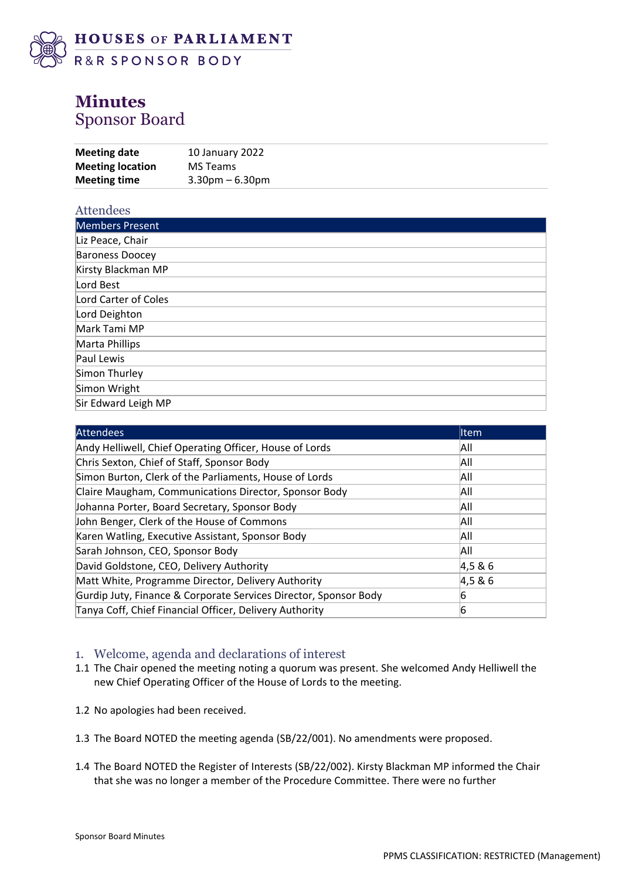

# **Minutes** Sponsor Board

| <b>Meeting time</b>     | $3.30$ pm $-6.30$ pm |
|-------------------------|----------------------|
| <b>Meeting location</b> | MS Teams             |
| Meeting date            | 10 January 2022      |
|                         |                      |

| <b>Attendees</b>       |
|------------------------|
| Members Present        |
| Liz Peace, Chair       |
| <b>Baroness Doocey</b> |
| Kirsty Blackman MP     |
| Lord Best              |
| Lord Carter of Coles   |
| Lord Deighton          |
| Mark Tami MP           |
| Marta Phillips         |
| Paul Lewis             |
| Simon Thurley          |
| Simon Wright           |
| Sir Edward Leigh MP    |

| <b>Attendees</b>                                                 | <b>I</b> tem |
|------------------------------------------------------------------|--------------|
| Andy Helliwell, Chief Operating Officer, House of Lords          | All          |
| Chris Sexton, Chief of Staff, Sponsor Body                       | All          |
| Simon Burton, Clerk of the Parliaments, House of Lords           | All          |
| Claire Maugham, Communications Director, Sponsor Body            | All          |
| Johanna Porter, Board Secretary, Sponsor Body                    | All          |
| John Benger, Clerk of the House of Commons                       | All          |
| Karen Watling, Executive Assistant, Sponsor Body                 | All          |
| Sarah Johnson, CEO, Sponsor Body                                 | All          |
| David Goldstone, CEO, Delivery Authority                         | 4,5 & 6      |
| Matt White, Programme Director, Delivery Authority               | 4,5 & 6      |
| Gurdip Juty, Finance & Corporate Services Director, Sponsor Body | n            |
| Tanya Coff, Chief Financial Officer, Delivery Authority          | 6            |

### 1. Welcome, agenda and declarations of interest

- 1.1 The Chair opened the meeting noting a quorum was present. She welcomed Andy Helliwell the new Chief Operating Officer of the House of Lords to the meeting.
- 1.2 No apologies had been received.
- 1.3 The Board NOTED the meeting agenda (SB/22/001). No amendments were proposed.
- 1.4 The Board NOTED the Register of Interests (SB/22/002). Kirsty Blackman MP informed the Chair that she was no longer a member of the Procedure Committee. There were no further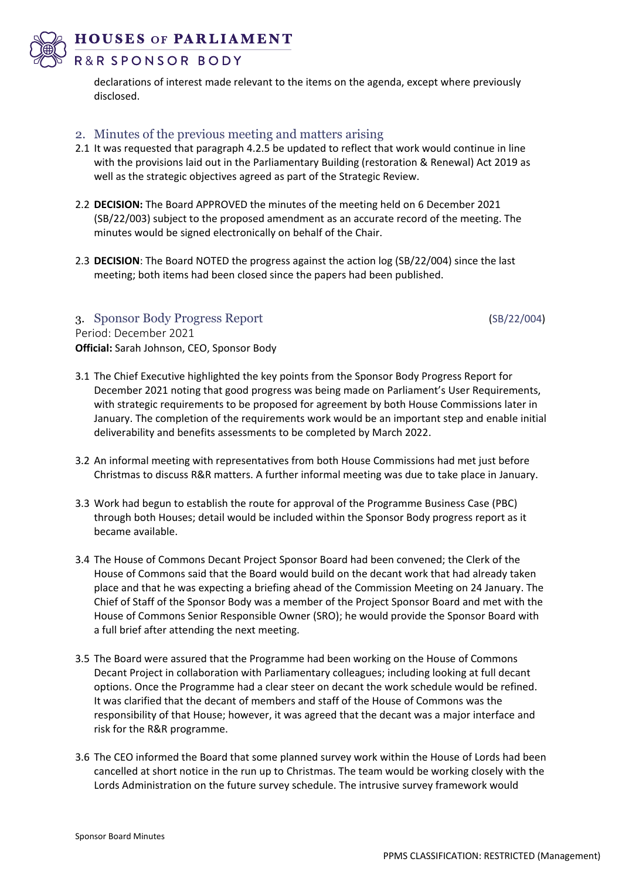**HOUSES OF PARLIAMENT** 



## R&R SPONSOR BODY

declarations of interest made relevant to the items on the agenda, except where previously disclosed.

### 2. Minutes of the previous meeting and matters arising

- 2.1 It was requested that paragraph 4.2.5 be updated to reflect that work would continue in line with the provisions laid out in the Parliamentary Building (restoration & Renewal) Act 2019 as well as the strategic objectives agreed as part of the Strategic Review.
- 2.2 **DECISION:** The Board APPROVED the minutes of the meeting held on 6 December 2021 (SB/22/003) subject to the proposed amendment as an accurate record of the meeting. The minutes would be signed electronically on behalf of the Chair.
- 2.3 **DECISION**: The Board NOTED the progress against the action log (SB/22/004) since the last meeting; both items had been closed since the papers had been published.

#### 3. Sponsor Body Progress Report (SB/22/004)

Period: December 2021 **Official:** Sarah Johnson, CEO, Sponsor Body

- 3.1 The Chief Executive highlighted the key points from the Sponsor Body Progress Report for December 2021 noting that good progress was being made on Parliament's User Requirements, with strategic requirements to be proposed for agreement by both House Commissions later in January. The completion of the requirements work would be an important step and enable initial deliverability and benefits assessments to be completed by March 2022.
- 3.2 An informal meeting with representatives from both House Commissions had met just before Christmas to discuss R&R matters. A further informal meeting was due to take place in January.
- 3.3 Work had begun to establish the route for approval of the Programme Business Case (PBC) through both Houses; detail would be included within the Sponsor Body progress report as it became available.
- 3.4 The House of Commons Decant Project Sponsor Board had been convened; the Clerk of the House of Commons said that the Board would build on the decant work that had already taken place and that he was expecting a briefing ahead of the Commission Meeting on 24 January. The Chief of Staff of the Sponsor Body was a member of the Project Sponsor Board and met with the House of Commons Senior Responsible Owner (SRO); he would provide the Sponsor Board with a full brief after attending the next meeting.
- 3.5 The Board were assured that the Programme had been working on the House of Commons Decant Project in collaboration with Parliamentary colleagues; including looking at full decant options. Once the Programme had a clear steer on decant the work schedule would be refined. It was clarified that the decant of members and staff of the House of Commons was the responsibility of that House; however, it was agreed that the decant was a major interface and risk for the R&R programme.
- 3.6 The CEO informed the Board that some planned survey work within the House of Lords had been cancelled at short notice in the run up to Christmas. The team would be working closely with the Lords Administration on the future survey schedule. The intrusive survey framework would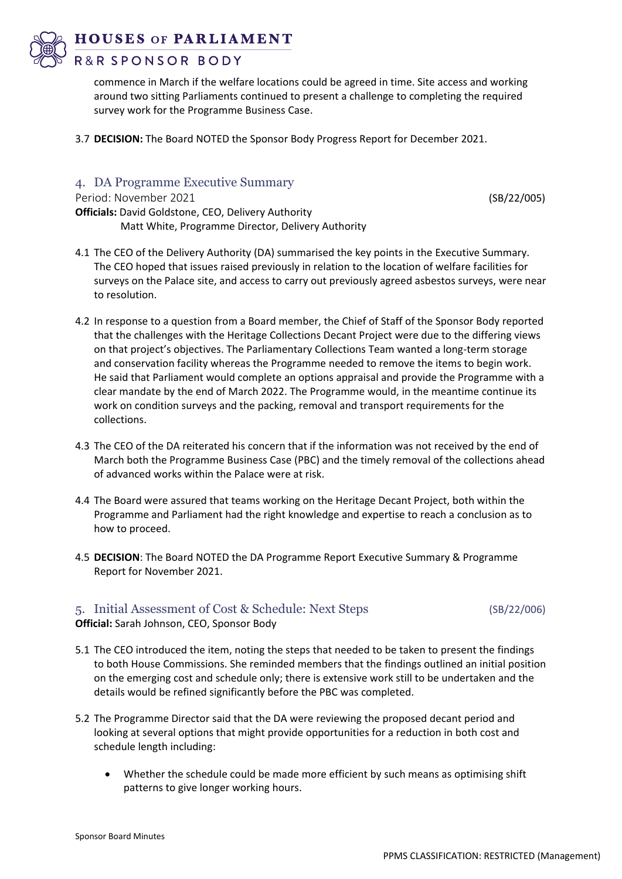

### R&R SPONSOR BODY

commence in March if the welfare locations could be agreed in time. Site access and working around two sitting Parliaments continued to present a challenge to completing the required survey work for the Programme Business Case.

3.7 **DECISION:** The Board NOTED the Sponsor Body Progress Report for December 2021.

### 4. DA Programme Executive Summary

Period: November 2021 (SB/22/005)

- **Officials:** David Goldstone, CEO, Delivery Authority Matt White, Programme Director, Delivery Authority
- 4.1 The CEO of the Delivery Authority (DA) summarised the key points in the Executive Summary. The CEO hoped that issues raised previously in relation to the location of welfare facilities for surveys on the Palace site, and access to carry out previously agreed asbestos surveys, were near to resolution.
- 4.2 In response to a question from a Board member, the Chief of Staff of the Sponsor Body reported that the challenges with the Heritage Collections Decant Project were due to the differing views on that project's objectives. The Parliamentary Collections Team wanted a long-term storage and conservation facility whereas the Programme needed to remove the items to begin work. He said that Parliament would complete an options appraisal and provide the Programme with a clear mandate by the end of March 2022. The Programme would, in the meantime continue its work on condition surveys and the packing, removal and transport requirements for the collections.
- 4.3 The CEO of the DA reiterated his concern that if the information was not received by the end of March both the Programme Business Case (PBC) and the timely removal of the collections ahead of advanced works within the Palace were at risk.
- 4.4 The Board were assured that teams working on the Heritage Decant Project, both within the Programme and Parliament had the right knowledge and expertise to reach a conclusion as to how to proceed.
- 4.5 **DECISION**: The Board NOTED the DA Programme Report Executive Summary & Programme Report for November 2021.

## 5. Initial Assessment of Cost & Schedule: Next Steps (SB/22/006)

**Official:** Sarah Johnson, CEO, Sponsor Body

- 5.1 The CEO introduced the item, noting the steps that needed to be taken to present the findings to both House Commissions. She reminded members that the findings outlined an initial position on the emerging cost and schedule only; there is extensive work still to be undertaken and the details would be refined significantly before the PBC was completed.
- 5.2 The Programme Director said that the DA were reviewing the proposed decant period and looking at several options that might provide opportunities for a reduction in both cost and schedule length including:
	- Whether the schedule could be made more efficient by such means as optimising shift patterns to give longer working hours.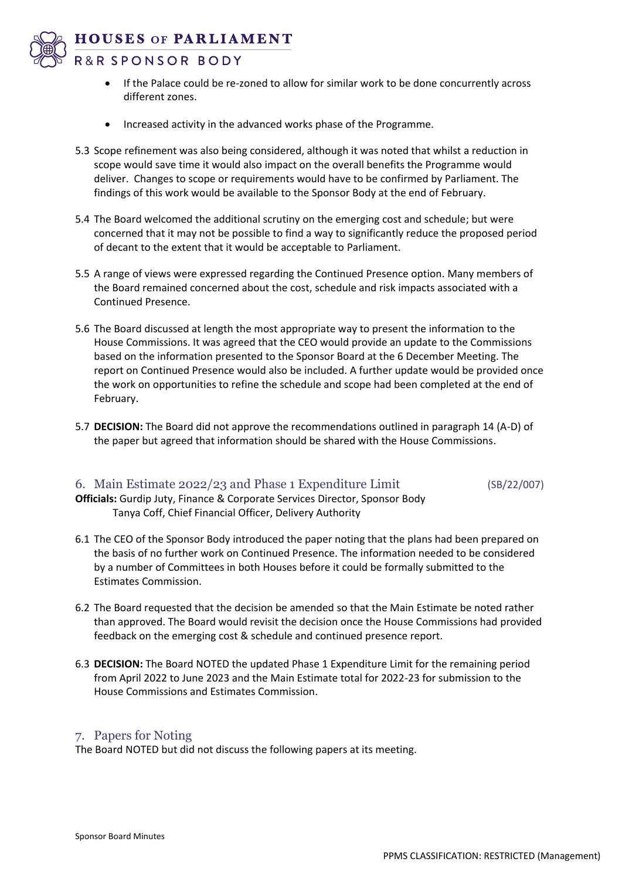**HOUSES OF PARLIAMENT** 



- R&R SPONSOR BODY
	- If the Palace could be re-zoned to allow for similar work to be done concurrently across different zones.
	- Increased activity in the advanced works phase of the Programme.
- 5.3 Scope refinement was also being considered, although it was noted that whilst a reduction in scope would save time it would also impact on the overall benefits the Programme would deliver. Changes to scope or requirements would have to be confirmed by Parliament. The findings of this work would be available to the Sponsor Body at the end of February.
- 5.4 The Board welcomed the additional scrutiny on the emerging cost and schedule; but were concerned that it may not be possible to find a way to significantly reduce the proposed period of decant to the extent that it would be acceptable to Parliament.
- 5.5 A range of views were expressed regarding the Continued Presence option. Many members of the Board remained concerned about the cost, schedule and risk impacts associated with a Continued Presence.
- 5.6 The Board discussed at length the most appropriate way to present the information to the House Commissions. It was agreed that the CEO would provide an update to the Commissions based on the information presented to the Sponsor Board at the 6 December Meeting. The report on Continued Presence would also be included. A further update would be provided once the work on opportunities to refine the schedule and scope had been completed at the end of February.
- 5.7 **DECISION:** The Board did not approve the recommendations outlined in paragraph 14 (A-D) of the paper but agreed that information should be shared with the House Commissions.

## 6. Main Estimate 2022/23 and Phase 1 Expenditure Limit (SB/22/007)

**Officials:** Gurdip Juty, Finance & Corporate Services Director, Sponsor Body Tanya Coff, Chief Financial Officer, Delivery Authority

- 6.1 The CEO of the Sponsor Body introduced the paper noting that the plans had been prepared on the basis of no further work on Continued Presence. The information needed to be considered by a number of Committees in both Houses before it could be formally submitted to the Estimates Commission.
- 6.2 The Board requested that the decision be amended so that the Main Estimate be noted rather than approved. The Board would revisit the decision once the House Commissions had provided feedback on the emerging cost & schedule and continued presence report.
- 6.3 **DECISION:** The Board NOTED the updated Phase 1 Expenditure Limit for the remaining period from April 2022 to June 2023 and the Main Estimate total for 2022-23 for submission to the House Commissions and Estimates Commission.

### 7. Papers for Noting

The Board NOTED but did not discuss the following papers at its meeting.